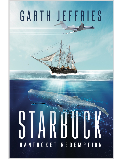# GARTH JEFFRIES

# NANTUCKET REDEMPTION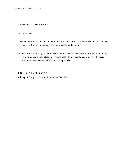Copyright © 2020 Garth Jeffries

All rights reserved

The characters and events portrayed in this book are fictitious. Any similarity to real persons, living or dead, is coincidental and not intended by the author.

No part of this book may be reproduced, or stored in a retrieval system, or transmitted in any form or by any means, electronic, mechanical, photocopying, recording, or otherwise, without express written permission of the publisher.

ISBN-13: 978-0-9999067-0-5 Library of Congress Control Number: 2020908034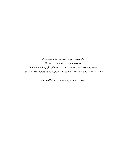*Dedicated to the amazing women in my life. To my mom, for making it all possible. To K for her thirty-five plus years of love, support and encouragement. And to M for being the best daughter - and editor - for which a dad could ever ask.* 

*And to DD, the most amazing man I ever met.*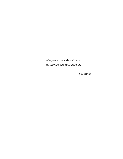*Many men can make a fortune but very few can build a family.* 

J. S. Bryan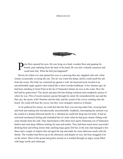### **PROLOGUE**



The eter Bois opened his eyes. He was lying on a hard, wooden floor and gasping for breath, pain radiating from the back of his head. He was also violently nauseous a could taste bile. What the hell just happened? breath, pain radiating from the back of his head. He was also violently nauseous and could taste bile. What the hell just happened?

Slowly he rolled over and opened his eyes to a piercing blue sky, dappled with soft, white clouds occasionally covering the sun. The air was warm but damp, and he could smell the salt from the ocean. His body lay crammed up against a wall, his head and neck twisted at an uncomfortable angle against what looked like a short wooden bulkhead. A few minutes ago, he had been standing at Great Point at the tip of Nantucket Island, his toes in the water. How the hell had he gotten here? The shock and pain left him feeling confused and completely unsure of where he was. Flits of recent memory passed through his mind. He remembered the sun and the blue sky, the picnic with Charlotte and the kids, and the sound of the waves crashing onto the beach. He could still hear the waves, but they were strangely muted as if distant.

As he gathered his senses, he could feel that the floor was moving under him, swaying back and forth and making him feel physically uncomfortable. Suddenly, interrupting the motions was the sound of a thump followed shortly by a vibration he could feel deep into his body. It had an awkward mechanical feeling and reminded him of a time when he had gone charter fishing with some friends from the club. They had booked a fifty-three-foot sports fisherman out of Nantucket harbor and went deep offshore looking for tuna and marlin. They had been much more successful drinking beer and telling stories than catching large game fish but, in the end, had managed a few blues and a couple of stripers that salvaged the trip and made for some delicious meals with the family. The weather had blown up in the afternoon, and despite its size, the boat struggled a bit on the return. Most of the group had gotten seasick as it crashed through an angry ocean filled with large swells and whitecaps.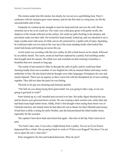The motion under him felt similar, but clearly, he was not on a sportfishing boat. Peter's confusion with his situation grew more intense, and for the first time in a long time, he felt the uncomfortable stab of fear.

Gradually he worked up the strength to raise his head and look out over the wall. Waves stretched out as far as he could see. The water was a dull gray-green with gentle swells, the shadows of the clouds reflected on the surface. He could see gulls flocking in the distance and just barely make out their calls. He twisted his head around, looked up, and was shocked to see a large wooden mast with acres of white canvas all connected by a spider-web of ropes. Squinting, he could just make out two men at the very top of the mast standing inside what looked like metal hula hoops and looking out across the sea.

As his mind was wrestling with this new reality, he felt a fresh breeze on his cheek, followed by an unholy stench. The warm, moist air had been replaced by a putrid, foul-smelling smoke that brought back his nausea. He rolled over and wretched out that morning's breakfast, a breakfast that now seemed so long ago.

The sound of men started to filter in through the calls of gulls, and he could hear them shouting loudly from one to another. It was English but with an unusual dialect and many words unfamiliar to him. He also heard what he thought were other languages; Portuguese for sure and maybe Spanish. There was an urgency to their voices but with the disciplined air of men working together. They did not share the panic he was feeling.

The kick to his gut was shocking and intensely painful.

"The hell are you doing laying there green hand? Are you going to take a nap, or are you going to get back to work?"

Peter looked up as a tall, bearded man towered over him. His bulky figure blocked the sun, and his brown eyes glowered down on him. He was wearing a dark woolen coat, white shirt and had black knee-high leather boots. Oddly, Peter's first thought when seeing those boots was of Charlotte and how she looked when he had taken her out to dinner for their fifteenth anniversary. It had been a chilly evening for early October, and she had purchased the black leather boots, especially for the occasion.

The captain's boot drew back and struck him again - this time in the hip. Peter cried out in pain.

"For God's sake, man, it was only a slight thump from a pulley. You act as if you'd been harpooned like a whale. Get up and get back to work or I'll have you flogged! You know I'm not one to spare the cat-o'-nine-tails."

Peter struggled to his feet and looked about him. *What the fuck?*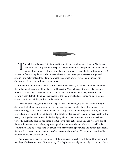# **CHAPTER ONE**



The white Gulfstream G5 jet crossed the south shore and touched down at Nantucket<br>Memorial Airport just after 4:00 p.m. The pilot deployed the spoilers and reversed the<br>engine thrust, quickly slowing the plane and allowing Memorial Airport just after 4:00 p.m. The pilot deployed the spoilers and reversed the engine thrust, quickly slowing the plane and allowing it to make the left onto the HS 2 taxiway. After making the turn, she proceeded over to the apron space reserved for general aviation and deftly rotated the plane following the ground crews' visual instructions. They chocked the tires as the turbines wound down.

Being a Friday afternoon in the heart of the summer season, it was easy to understand how this rather small airport could be the second busiest in Massachusetts, trailing only Logan in Boston. The sleek G5 was cheek to jowl with dozens of other business jets, turboprops and private planes. It looked like half the wealth of the free world had descended on this irregularshaped speck of sand thirty miles off the mainland.

The stairs descended, and Peter Bois appeared in the opening, his six-foot frame filling the doorway. He had put some weight on over the past few years, and as he said to himself nearly every morning, he needed to start exercising and drop a few pounds. He paused briefly, his light brown hair blowing in the wind, taking in the beautiful blue sky and inhaling a deep breath of the fresh, salt-tinged ocean air. Bois looked and played the role of a Nantucket summer resident perfectly. Just forty-four, he had made a fortune with his plastics company and was now one of the wealthiest men on the island, a pretty significant accomplishment when you consider the competition. And he looked the part as well with his youthful appearance and boyish good looks, features that attracted stares from most of the women who saw him. Those stares occasionally returned by his penetrating blue eyes.

This was usually his favorite moment of the weekend - a week's work behind him and a full two days of relaxation ahead. But not today. The day's events weighed heavily on him, and there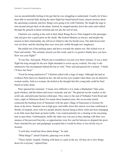was an uncomfortable feeling in his gut that he was struggling to understand. Usually, he'd have been able to unwind fully during the short flight but found himself tense, almost anxious about the upcoming weekend, and how things were going to be with Charlotte. He fought the urge to turn around and get back on the plane. Instead, he stepped quickly down the stairs and walked through the general aviation terminal and out into the arrival area.

Charlotte was waiting at the curb in their black Range Rover. Peter hopped in the passenger side and gave her a quick peck on the cheek. She looked fabulous as always, and despite the tension in their relationship, she still never failed to take his breath away. Her dark brown hair was cut short, and her dazzling blue eyes were just visible through new sunglasses.

She pulled out of the parking space and drove towards the airport exit. She looked over at Peter and smiled. "We certainly missed you this week, and it's so good to finally have you here. How was your flight?"

"It was fine. And quick. Wheels-up to touchdown was just over thirty minutes. It was a short flight but long enough for the new flight attendant to screw-up my cocktail. Not only is she unattractive but incompetent behind the bar as well," Peter said and paused for a minute. "I think I'll have her fired."

"Fired for being unattractive?" Charlotte asked with a tinge of anger. Although she had no evidence Peter had ever cheated on her, she did see his eyes wander when there was an attractive woman nearby. And as a woman, she boiled at the thought that this young lady could be fired based on looks alone.

Peter ignored her comment. "I mean, how difficult is it to make a Manhattan? Take some good whiskey, add the bitters and sweet vermouth, and stir." He glanced out the window as the scrub oak, and pitch pine barrens rolled past. They came to the end of Nobadeer Farm Road and took a right on Milestone Road. For nearly three hundred years, this seven-mile stretch connected the bustling town of Nantucket with the quiet village of Siasconset or Sconset for those in the know. Summer was in high gear, and traffic down this narrow two-lane confirmed it. Hordes of mopeds, most with two people aboard, buzzed along at thirty miles per hour managing to do little more than back up faster traffic. Cars waited patiently for a clearing in the oncoming lane to pass them. Unfortunately, traffic the other way was just as busy dealing with their own menace of the powered bicycles, so opportunities were few and far between to dispatch the pests. Peter clenched his jaw and grudgingly accepted that it would be thirty or less all the way to Sconset.

"I wish they would ban those damn things," he said.

"What things?" asked Charlotte, glancing over at him.

"Those fuckin' mopeds. Dealing with them is a pain in the ass. All they do is slow things down for everyone," replied Peter.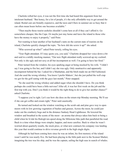Charlotte rolled her eyes, it was not the first time she had heard this argument from her intolerant husband. "But honey, for a lot of people, it's the only affordable way to get around the island. Rental cars are brutally expensive, and the taxis and Ubers in summer are so busy that it can often mean hours before one becomes available."

"Then maybe those tourist assholes shouldn't come here at all if they can't afford it. Go somewhere cheaper, like the Cape. Or maybe just stay home and leave the island to those who have the money to enjoy it properly," said Peter.

Not wanting to hear another of her husband's rants on the current state of tourists on the island, Charlotte quickly changed the topic. "So how did she screw it up?" she asked.

"Who screwed up what?" asked Peter tersely, rolling his eyes.

"Your flight attendant. If I may quote you, you said," Charlotte dropped her voice down a bit and said in a mildly mocking manner, "Our new flight attendant really screwed-up my cocktail. Not only is she ugly and not sexy at all but incompetent as well. I'm going to have her fired."

Peter turned from the window, his eyes sparking anger at being mocked by his wife. "I didn't say I was going to fire her, and I didn't say she was ugly. Only unattractive and apparently incompetent behind the bar. I asked for a Manhattan, and the bitch made me an Old Fashioned. And she used the wrong whiskey. You know I prefer Makers', but she just pulled the well crap we got for the golf outing with the guys last month," Peter snapped.

"So she used the wrong whiskey and added sugar when she shouldn't have. Do you think perhaps she could have been a little nervous? After all, it was her first week on the job and the first trip with you. Don't you think it would be the right thing to do to give her another chance?" asked Charlotte.

"I suppose you're right. Let's see how she does on the return trip Monday morning. We'll see if she can get coffee and cream right," Peter said caustically.

He turned and looked out the window watching as the scrub oak and pine gave way to open moors with its low growing vegetation of bushes and grasses. Across the moor, he could just make out the cranberry bogs and in the distance Sankaty Head Lighthouse. He lowered the window and breathed in the scents of the moor - an aroma that always takes him back to being a child when he'd ride his Raleigh ten-speed along the Milestone bike path that paralleled the road. Back to a time when things were simpler, happier, and more carefree. Back to when he wasn't worried about quarterly results, the stock price, or what new contracts his company was landing this year that would continue to drive revenue growth in the high single digits.

Although he had been coming here since he was an infant, his first memory of the island wasn't until he was nearly five. He had been playing in the little park next to the Sconset Market, imagining the tree was his ship, and he was the captain, sailing the high seas in search of whales.

7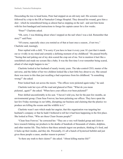Descending the tree to head home, Peter had stepped on an old rusty nail. His screams were followed by a trip to the ER at Nantucket Cottage Hospital. They dressed his wound, gave him a shot - which he remembered being as almost bad as stepping on the nail - and sent him home with his foot bandaged and instructions to forego his captain career for a few weeks.

"Peter?" Charlotte asked.

"Oh, sorry. I was thinking about when I stepped on the nail when I was a kid. Remember that story?" said Peter.

"Of course, especially since you remind us of that at least once a season...if not two," Charlotte said, teasingly.

Peter replied with a chill, "I'm sorry if you have to hear it every year. It's just that it stands out so vividly in my mind and certainly a defining moment of my childhood." He paused briefly. "Seeing that nail poking out of my skin scared the crap out of me. Not to mention it hurt like a sonofabitch and made me scream like a baby. It was the first time I ever remember being scared, afraid of what might happen to me."

Charlotte looked at her husband of nearly twenty years. The take-control CEO, master of the universe, and the father of her two children looked like a hurt little boy about to cry. She sensed there was more to this than just recalling a bad experience from his childhood. "Is something wrong?" she asked.

Peter looked back out across the moors. "The offices were picketed again today," he said.

Charlotte took her eyes off the road and glanced at Peter. "What do you mean picketed...again?" she asked. "When have your offices ever been picketed?"

Peter shifted uncomfortably in his seat. "I haven't told you, but for the past few months, an environmental group, Clean Seas Forever, has been picketing our offices. They have spent the last few Friday mornings in our lobby, disrupting our business and claiming that the plastics we produce are killing the oceans and the wildlife in it."

Charlotte wasn't sure which made her angrier, that this organization was targeting her husband's company or that he hadn't bothered to tell her it had been happening in the first place. She looked at Peter, "Who are these Clean Oceans people?"

"Clean Seas Forever," he corrected her. "They are a very well funded group and claim to have research linking our products to the deaths of hundreds of thousands of whales, dolphins, and other marine life. They believe that these animals ingest our products, thinking it's food, and it fucks up their insides, and they die. Personally, it's all a bunch of hysterical bullshit and just gives these people a cause, another reason to protest."

"Is there any truth to their claims?" she asked. "About killing marine life?"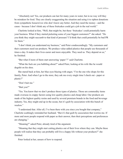"Absolutely not! Yes, our products can last for many years in water, but in no way will they be mistaken for food. They are clearly exaggerating the situation and using it to siphon donations from sympathetic housewives who don't know any better. And they need the money - and the cause - because I don't think any of these fruitcakes could get a job in the real world."

Charlotte looked at him, "Well, that might be, but these 'fruitcakes' could potentially harm your business. What if they started picketing some of your biggest customers?" she asked. "Do you think they might succumb to that kind of pressure? I'd think that could potentially be bad PR for them."

"I don't think you understand my business," said Peter condescendingly. "My customers and their customers need our products. We produce value-added plastics that people use thousands of times a day. It makes their lives easier and more enjoyable. They need us. They depend on us," he finished.

"But what if more of them start answering 'paper'?" said Charlotte.

"What the fuck are you babbling about?" asked Peter, looking at his wife like he would dogshit on his shoe.

She stared back at him, her blue eyes blazing with anger, "I'm the one who shops for this family, Peter. And when I go to the store, they ask me every single time I check out - paper or plastic?"

"Don't bait me."

"Bait you?"

"Yes. You know that we don't produce those types of plastics. Those are commodity items made overseas in crappy factors using low-quality plastics and cheap labor. Our products are made of the highest quality resins and used by several premium brands in the food and beverage industry. Yes, they might end up in the ocean, but it's guilt by association with this bunch of wackos."

"I understand that. After all, I've been there with you since you bought that company," Charlotte scathingly reminded her husband. "But it's that guilt by association that worries me. If more and more people respond with paper as their answer, then their perceptions and preferences are changing."

"Meaning?" asked Peter, already tired of the argument.

"Meaning that they might start cutting plastics out of their lives where they can. Maybe these people will realize that they can probably still live a happy life without your products?" she finished.

Peter looked at her, unsure of how to respond.

9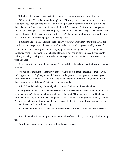"I think what I'm trying to say is that you should consider transitioning out of plastics."

"What the fuck?" said Peter, nearly apoplectic. "Plastic products make up almost our entire sales portfolio. They generate hundreds of millions per year in revenue. And if we don't make them, then one of our many competitors no doubt will," he snarled. "Is it my fault that people don't recycle or dispose of their trash properly? And how the fuck can I keep a whale from eating a piece of plastic floating on the surface of the ocean?" Peter was bristling now, the recollection of the morning's activities helping to fuel his displeasure.

"I'm just trying to help," Charlotte said shakily. "Anyway, I thought your guys in R&D had developed a new type of plastic using natural materials that would degrade quickly in water."

Peter snorted, "Those 'guys' are very highly paid chemical engineers, and yes, they have developed some resins made from natural materials. In our preliminary studies, they appear to disintegrate fairly quickly when exposed to water, especially saltwater. But we abandoned that work last year."

Taken aback, Charlotte said, "Abandoned? It sounds like it might be a perfect solution to this problem!"

"We had to abandon it because they were proving to be too damn expensive to make. Even looking past the very high capital needed to rework the production equipment, converting our entire product line would cost us over fifteen percentage points of margin. Do you know what that means in terms of dollars?" Peter stared at her intently.

"I don't," said Charlotte, "Especially since you won't share the financials with me."

Peter ignored the dig. "Over one hundred million. Per year! Do you know what that would do to our stock price?" Peter waved his arms to make the point. "Our stock price would tank and with that a lot of my net worth." He slumped back into his seat. "I think you like the way we live. Plastics have taken care of us financially, and I seriously doubt you would want to give it all up to clean the oceans," he said mockingly.

"But what about the wildlife some of your plastics are hurting? Like the whales?" Charlotte asked.

"Fuck the whales. I have margins to maintain and profits to deliver," Peter replied with an icy tone.

They drove the remaining few miles to their house in silence.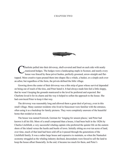# **CHAPTER TWO**



Inarlotte pulled into their driveway, shell-covered and lined on each side with neatly manicured hedges. The hedges were a landscaping staple in Sconset, and nearly every house was fenced by these privet bushes, perfectly groomed, arrow-straight and flattopped. More creative types pruned them into shapes like a whale, a basket, or a simple arch over an arbor, but regardless of the form, the privets defined the little village.

Growing down the center of their driveway was a thin strip of grass whose survival depended on being out of reach of the tires, and Peter hated it. It had always made him feel a little sloppy, that he wasn't keeping the grounds manicured to the level he preferred and expected. But Charlotte loved it for its charm and the way it helped to soften the approach to the house. She had convinced Peter to keep it that way.

The driveway was reasonably long and allowed them a great deal of privacy, even in this small village. Many summer residents who lived in Siasconset were familiar with the entrance, often using it as a backdrop for family pictures. They were completely unaware of the beautiful home that resided at its end.

The house was named Fernweh, German for 'longing for unseen places,' and Peter had known it all his life. More of a small compound than a house, it had been built in the 1820s by Charles Litchfield, a very successful whaling captain who preferred the quieter life on the eastern shore of the island versus the hustle and bustle of town. Initially sitting on over ten acres of land, over time, much of that land had been sold off as it passed through the generations of the Litchfield family. It was a rather large house and expensive to maintain, so when the Nantucket economy struggled as the whaling industry declined, descendants were forced to sell the land to keep the house afloat financially. In the end, it became too much for them, and Peter's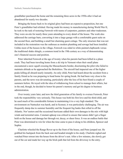grandfather purchased the home and the remaining three acres in the 1950s after it had sat abandoned for nearly two decades.

Bringing the house back to its original glory had been an expensive proposition, but one Peter's grandfather had relished. Having made his money in manufacturing during World War II, he took to the task of restoring Fernweh with teams of carpenters, painters and other tradesmen. They were on-site for nearly three years attending to every detail of the house. The work also addressed the carriage barn, converting it into a large garage with a comfortable guest suite on the second floor, and building a small but charming guest cottage. The only structure that was not included in the restoration was the outhouse as modern plumbing and sewage had been installed. Unlike most of the houses in the village, Fernweh was sided in white painted clapboards versus the traditional shake shingle, a common trend in the 19th century as a way of demonstrating one's financial success and position.

Peter inherited Fernweh at the age of twenty when his parents had been killed in a plane crash. They had been traveling home from a ski trip in Vermont when their small plane encountered a snow squall crossing the Massachusetts border, disorienting the pilot who failed to maintain altitude as he approached the Berkshires. The aircraft had impacted one of the higher peaks killing all aboard nearly instantly. An only child, Peter had heard about the accident from a family friend as he was preparing to head home for spring break. He had been very close to his parents, and the news was devastating, particularly after the loss of his best friend a couple of summers before. He toyed with the idea of withdrawing from school to manage their affairs, but in the end, though, he decided to honor his parent's memory and get his degree in business administration.

Over twenty years later, and now the third generation of his family to oversee Fernweh, Peter took the responsibility very seriously. This house was both his first love and his third child, and he used much of his considerable fortune in maintaining it to a very high standard. The environment on Nantucket was harsh, and in Sconset, it was particularly challenging. The air was frequently damp due to summer humidity and the frequent fog banks that rolled in off the Atlantic. Nor'easters and the occasional hurricane added their own damages to the mix with high winds and torrential rains. Constant upkeep was critical to ensure that nature didn't get a finger hold on the house and damage her through rot, decay, or sheer force. It was an endless battle that Peter was determined to win for when the time came to pass it along to his children, Spencer and Sophie.

Charlotte wheeled the Range Rover up to the front of the house, and Peter jumped out. He grabbed his backpack from the back seat and headed straight to his study. Charlotte sighed and watched Peter retreat into the house from the driver's seat. After a few minutes, she slowly got out of the car and made her way up the brick path that led from the driveway to the entry.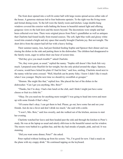The front door opened into a well-lit center hall with large rooms spread across either side of the house. A generous staircase led to four bedrooms upstairs. To the right was the living room and formal dining room. To the left were the family room and kitchen. Large double-hung windows covered the exterior walls bathing the house in beautiful natural light and offering gorgeous views to the lush lawn and the moors beyond. The decorations were simple and had been collected over time. There were original pieces from Peter's grandfather as well as antiques that Charlotte had found locally from trusted sources. The soft, light blue walls and glossy white wood trim created a bright and airy space that usually brought Charlotte joy. But not tonight. The short drive from the airport had left her with a heavy feeling.

Their summer nanny, Jess, had just finished feeding Sophie and Spencer their dinner and was rinsing the dishes in the sink and putting them in the dishwasher. The children had disappeared to the family room, eager to utilize their one hour of screen time.

"Did they give you much trouble?" asked Charlotte.

"No, they were great, as usual," replied the nanny. "Sophie still doesn't like fresh fish very much. I prepared some bluefish for her tonight, but she only picked around the edges. Spencer, of course, would have licked his plate if I had let him," said Jess, smiling. Charlotte stood next to the nanny with her arms crossed. "Well, bluefish can be pretty fishy. I know I didn't like it much when I was younger. Maybe next time we should try swordfish or grouper."

"Hmmm. She might like that," replied Jess. She placed the last of the dishes in the dishwasher. "Can I get you anything, Mrs. Bois?"

"Thanks, but I'm okay. I had a late lunch at the club, and I think I might just have some cheese or fruit in a little bit."

"Okay. Do you need me for anything more tonight? I was going to head into town and meet up with some friends if that's okay."

"Of course that's okay. I can get them to bed. Please, go out, have some fun and see your friends. Just do me a favor and don't drink too much," she said with a smile.

"I won't, Mrs. Bois," said Jess sweetly, and she walked out of the kitchen, anxious to start her evening.

Charlotte watched her leave and then headed past the sink and through the kitchen to Peter's study. He was at the laptop as usual and utterly oblivious to the beautiful sunset out his window. The moors were bathed in a golden hue, and the sky had streaks of purple, pink, and red. It was stunning.

"Did you want some dinner, Peter?" she asked.

Peter replied without looking up from his screen. "No, I'm good for now. I had a snack on the plane with my crappy drink." He continued tapping on the keyboard.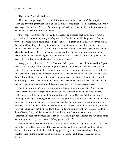"Can we talk?" asked Charlotte.

"Not now. I've got to get this pricing information out to the Asian team," Peter replied. "They are presenting this weekend to one of the biggest food producers in Singapore, and I really want to get that business." He briefly looked up at Charlotte. "Give me thirty minutes, and then maybe we can meet for a drink on the patio?"

"Sure, hon," said Charlotte reluctantly. She sighed and walked back to the family room to join the kids for some *Penguins of Madagascar*. The family room had a large overstuffed, and very comfortable leather couch that could probably seat eight in a pinch. They sat spread out on the couch with their eyes intently focused on the large flat-screen television hung over the whitewashed brick fireplace. It was Charlotte's favorite room in the house, especially in the fall, when she and Peter could curl up and watch some college football with a fire roaring in the hearth. Spencer and Sophie laughed out loud several times at the antics of the four penguins and were both very disappointed when the credits started to roll.

"Okay, you two, time for bed," said Charlotte. "Go upstairs, get your PJ's on, and brush your teeth. I'll be up in ten minutes for reading time." Sophie and Spencer reluctantly went up the stairs. Charlotte stood and took a minute to reorganize the numerous pillows and neatly fold the wool blanket that Sophie had wrapped around her as she watched television. She walked over to the window and looked out over the lawn. The sky was nearly black but held just the faintest light of purple close to the horizon. Off to the west, she could clearly see Venus and several stars and closer to home, a handful of rabbits eating the grass over by the carriage house.

True to her promise, Charlotte was upstairs with two minutes to spare. She, Spencer, and Sophie spread out on her large bed in the master suite. Spencer clutched one of his favorite stuffed animals, a little dog named Floppy, and snuggled in on Charlotte's left while Sophie curled up on her right. Reading at bedtime had been part of their nighttime ritual since they were barely out of the womb and her favorite time of the day. Tonight they were continuing with a treasured classic from her childhood, *The Wind in the Willows*. She read for nearly thirty minutes before she reluctantly put the book down. She could have gone on for hours, the escape into the lives of Mole, Toad, and the others a welcome distraction. Charlotte paused at the end of a chapter and noticed that Spencer had fallen asleep. Glancing at her daughter, she saw that Sophie was struggling to keep her eyes open. "Okay guys, bedtime."

Sophie reluctantly scooted off the big bed and made her way through the door and down the hall to her room. Charlotte nudged Spencer awake, helped him off the bed, and then led him down to his room. He climbed in his bed, hugged Floppy to his chest, and closed his eyes. Charlotte brought the blanket up and tucked him in. "Good night, love," she said. "Sweet dreams."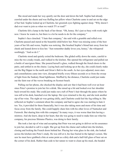She stood and made her way quietly out the door and down the hall. Sophie had already crawled under the sheets and was fluffing her pillow when Charlotte came in and sat on the edge of her bed. Sophie looked up at Charlotte, her greenish eyes fighting against sleep. "Why doesn't dad ever want to join us when we watch TV or read?"

Charlotte felt a lump in the back of her throat. "Oh, honey. He's just so busy with work right now. I know he wants to, but there is a lot he needs to do for the company."

Sophie's face clenched. "I hate that company," she said with a grumble and rolled over. Charlotte paused and stared at the beautiful child below her. Peter was missing some of the best years of her life and worse, Sophie was noticing. She brushed Sophie's blond hair away from her cheek and leaned down to kiss her. "Just remember daddy loves you, honey," she whispered soothingly. "And so do I."

Charlotte stood and quietly exited the bedroom. She glided softly down the stairs, careful to miss the two creaky treads, and walked to the kitchen. She opened the refrigerator and pulled out a bottle of sauvignon blanc. She poured herself a glass, walked through the french doors to the patio, and settled in on the chaise. Laying back and looking up at the sky, she could clearly make out the Big Dipper to the north and Orion's Belt to the south. As her eyes adjusted, more stars and constellations came into view, disrupted briefly every fifteen seconds or so from the sweep of light from the Sankaty Head lighthouse. Muffled by the distance, Charlotte could just make out the faint roar of the waves breaking on Sconset beach.

Pulling out her phone, she checked the display and saw that it had been well over an hour since Peter's promise to join her for a drink. She raised up a bit and looked over her shoulder back toward his study. She could just make out a tuft of Peter's hair through the panes where he was still at his desk, hunched over the laptop. Her eyes returned to the sky, and she took another sip of her wine. The night air was getting chilly, and Charlotte could feel the fog rolling in. She reflected on Sophie's comment about the company and had to agree she was starting to hate it too. Yes, it provided for them financially, but it was also taking more and more of his time and focus away from the family. She could happily share him with his other loves of Nantucket and Fernweh. But sharing him with this company? In many ways, it was worse than him having a mistress. And she knew, deep in her heart, that she was going to need to make him see what his company, his precious Shimmo Plastics, was doing to their family.

She took a last sip of wine and accepting that Peter was not going to deliver on his assurance to join her, decided to call it a night. She got up from the chaise and walked into the kitchen, closing and locking the French doors behind her. Placing her wine glass in the sink, she looked across the kitchen into Peter's study. He was still at it, his face buried in the laptop's screen. She saw he must have grabbed a bite at some point as a dirty dish and a half-full glass of beer sat on the corner of his desk. Rather than cede to her nature to want to clean up his meal, she headed

15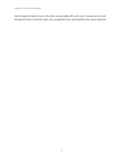back through the family room to the stairs, turning lights off as she went. Casting one last look through the house toward his study, she ascended the stairs and headed for the master bedroom.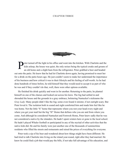### **CHAPTER THREE**



eter turned off the light in his office and went into the kitchen. With Charlotte and the kitches is also the kitchen, with Charlotte and the kitchen is also an old home and a slight hum from the refrigerator. Peter grabbe kids asleep, the house was quiet, the only noises being the typical creaks and groans of an old home and a slight hum from the refrigerator. Peter grabbed a beer and headed out onto the patio. He knew that he had let Charlotte down again, having promised to meet her for a drink on the patio hours ago. He just couldn't seem to make her understand the importance of his business and how critical it was to their lifestyle and his feeling of self-worth. As he had done hundreds of times before, he told himself that they would need to accept it as part of who he was and if they couldn't do that, well, there were other options available.

He finished his drink quickly and went in for another. Returning to the patio, he planted himself on one of the chaises and looked out across his lawn. The fog had settled in and shrouded the house and the grounds in a gray embrace, bolstering Nantucket's nickname the *Gray Lady.* Many people didn't like the fog; some even found it sinister, if not outright scary. But Peter loved it. The isolation both in sound and sight comforted him and made him feel like he was home. Not the little "h" home that represents where you rest your head every night and where you get your mail but the big "H" Home that defines who you are and from where you come. And although he considered Nantucket and Fernweh Home, Peter knew sadly that he was not considered a native by the islanders. He hadn't spent winters here or gone to the local school. He hadn't played Whaler football or participated in any of the myriad of other activities that the native kids did. He and his family were just another one of the thousands of summertime residents who filled the streets and restaurants and raised the prices of everything for everyone.

Peter took a sip of his beer and wondered about how things might have been different. He had tried to talk Charlotte into living on the island year-round, right after they had married. He knew he could find a job that would pay the bills, if not take full advantage of his education, and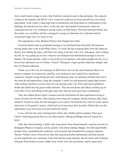find a small rental cottage in town. But Charlotte wanted no part in that adventure. She enjoyed coming in the summer and fall for a few weeks but could not envision herself here year-round, particularly in the winter. Citing high rates of alcoholism and drug abuse as confirmation of her thinking, she had put her foot down. In the end, they had landed in Greenwich, where he commuted into the City working in private equity on Wall Street. The hours had been brutal, but the money was excellent, and they managed to escape to Nantucket for weekends and the occasional longer stay of a week or two.

The opportunity to buy Shimmo Plastics had changed all of that.

It had all started with an accidental meeting of an old friend from Deerfield. He had been having drinks after work at the White Horse. As usual, the big swinging dicks from the financial district were filling the place, and Peter was sitting at the bar with a few colleagues. After settling his bill, he was getting up to leave when he was bumped from behind hard enough to lose his balance. He turned quickly, ready to rail on this act of rudeness, and stared straight into the wavy brown hair and hazel eyes of Charles "Chuck" Thompson. Anger quickly faded into delight, and the two friends embraced.

Chuck was in the City for meetings on Wall Street. He was the chief financial officer of a plastics company in Connecticut, and they were looking to raise capital for a significant expansion. Despite strong financials and a solid business plan, he had been rebuffed from all of the firms he had approached, citing the company's small size and projected single-digit returns. After calling Charlotte to let her know he was staying in the City, Peter and Chuck grabbed a booth and settled into the green leather benches. They ate and drank and talked, catching up on each other's lives and filling in the gaps since they had last seen each other at graduation.

They also talked about Chuck's business and the frustrations he had experienced trying to secure investors for the firm. After hearing more about the company and the business plan, Peter started to ferment an idea. He had managed to save quite a bit from his few years of work, and he had access to his parent's money, which had sat in trust since their accident. Maybe this was the opportunity to go out on his own and control his future.

It was well into the early morning hours before they finally parted company. Peter gave Chuck a final hug and put him in a taxi then turned, walking up Bridge Street in search of a hotel.

After that initial meeting, it didn't take long before Peter found himself a majority investor in Bridgeport Plastics Company, and he quickly went about making changes. He shed unprofitable product lines, streamlined the workforce, and renamed and rebranded the company Shimmo Plastics. Within a year of his arrival, they had increased profits substantially and had secured several significant new customers in the food and beverage industry. But his hours and workload had gone from brutal to insane. Eighty hour weeks were not uncommon, and he spent most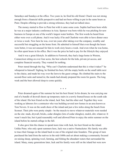Saturdays and Sundays at the office. Two years in, he fired his old friend. Chuck was not strong enough from a financial skills perspective and had not been willing to put in the same hours as Peter. Despite offering to provide a strong reference, they had not talked since.

The money started to flow to Peter but with it came some costs. Sophie had been born while he was at a major industry conference in Asia. Spencer was born while he was pitching for new business in Europe at one of the world's largest water bottlers. The first words he heard from either were over a cell phone. And it was lucky if he and Charlotte were able to have dinner once or twice a week. Now here he was, over ten years after taking over the company, wealthy and successful but struggling on the home front. He admitted to himself that even though the hours were better, it was not unusual for him to work sixty hours a week. And even when he was home, he often spent hours in his office. But it was the price he had to pay for the lifestyle they enjoyed.

And it was a great lifestyle. In addition to Fernweh, they had a large home in Weston, Connecticut sitting on over four acres, the best schools for the kids, private jet access, and complete financial security. They wanted for nothing.

Peter stared through the fog, "Why can't Charlotte understand that this is what it takes?" he whispered to himself. Sighing, he finished his beer, left the empty bottle on the small table next to the chaise, and made his way over the lawn to the guest cottage. He climbed the stairs to the second-floor suite and turned in; the maids had already prepared the room for guests. The long week and the beer allowed sleep to come quickly.

\* \* \*

Peter dreamed again of the summer he lost his best friend. In his dream, he was carrying one end of a bundle of drywall sheets up temporary stairs in a newly framed house on the south side of the island. His best friend on the island, Jack Tate, had the other end. Together they were working as laborers for a contractor who was building several new homes in an area known as Tom Nevers. It was on the south shore of the island and just a few miles along the beach from Sconset. Their jobs were pretty simple - be the muscle to move whatever materials were needed on the site: studs, drywall, bricks, cedar shingles (lots of cedar shingles), mulch, dirt, whatever. It wasn't much fun, but it paid reasonably well and allowed Peter to enjoy the entire summer on the island before he started college in the fall.

It also gave him the chance to spend more time with Jack, his best friend on the island. Unlike Peter, who only spent summers here, Jack was a native Nantucketer. His family was able to trace their lineage on the island back to one of the original nine founders. This group of men purchased the land from the natives in the mid-1600s and set about making a community focused on raising sheep, spinning wool, farming, and fishing the abundant waters that surrounded the island. Many, many generations later, Jack and his family were still on the island but were now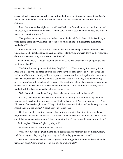active in local government as well as supporting the flourishing tourist business. It was Jack's uncle, one of the largest contractors on the island, who had hired them as laborers for the summer.

"Man, that was fun last night wasn't it?" said Jack. His flaxen hair was wet with sweat, and his green eyes shimmered in the heat. "I'm not sure I've ever seen The Box so busy and with so many good looking women."

"That probably explains why it is the best bar on the island!" said Peter. "It looked like you were getting along okay with that one blond. You bailed on me - I'm assuming everything worked out?"

"Pretty much," said Jack, smiling. "We took her Wagoneer and parked down by the Coast Guard beach. She just happened to have a couple of blankets, so we went down by the water and did some whale watching if you know what I mean."

Peter smiled back, "I thought so, you lucky devil. She was gorgeous. Are you going to see her this weekend?"

"She left this morning on the 6:30 ferry," replied Jack. "She's a nanny for a family from Philadelphia. They had a rental in town and were only here for a couple of weeks." Peter and Jack carefully lowered the drywall in an upstairs bedroom and leaned it against the newly framed wall. They turned back down the stairs to get the next load. All told they would be moving several tons of drywall, which would undoubtedly help further shape their physiques. A summer of hard work and weekends on the beach had turned them into modern-day Adonises, which worked well for them as far as the ladies were concerned.

"Well, that sucks," said Peter. "Any chance she could come back on her own?"

"I asked," Jack replied. "But she's committed to this family through Labor Day and then is heading back to school the following week." Jack looked over at Peter and grinned slyly, "So, I'll need to find another girlfriend." They pulled five sheets off the back of the delivery truck and started back into the house. "What about you?" asked Jack.

"Oh, I had fun, but nothing happened. Met a few pretty girls, but either they already had boyfriends or just weren't interested. I struck out." He looked across the drywall at Jack. "What about that cute older sister of yours? Jen. Do you think she'd ever consider going out with me?"

Jack laughed. "You don't give up, do you?"

"Not when there's a beautiful woman involved."

"Well, trust me, that dog won't hunt. She's getting serious with that guy from New Jersey, and I'm pretty sure they're going to get engaged when they graduate next year."

"Bummer," said Peter. He was walking backward through the front door and started up the temporary stairs. "How much more of this shit do we have left?"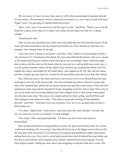"By my count, we have six more trips, and we will be done positioning the upstairs drywall for the rockers. The downstairs will be a bitch but not as bad as we won't have to deal with those friggin' stairs. I'm guessing we should finish-up by three."

"Man, I can't wait. I was not born to do this type of work," said Peter. "What's say we hit the beach for a quick swim when we're done. Get cooled off and figure out what we're doing tonight."

### "Sounds good, man."

After several more grueling hours, Peter and Jack pulled the last of the drywall sheets off the truck and maneuvered them into the framed out kitchen area. They checked in with their site manager, who released them for the day.

"God, that water is going to feel good," said Peter. They walked over and jumped in Peter's old, red Jeep CJ-5. It had been in the family for years and reflected that history with over a dozen of the annual beach permit stickers neatly lined up on the rear bumper. Peter's dad had taught him to drive with this truck on the beach when he was just ten. Lacking both doors and a top, it was the perfect summer vehicle for the island. Peter started it up, crunched the shifter into first, popped the clutch, and headed for the South Shore. Jack slipped an AC/DC disc into the stereo, and they cranked up some *Big Gun*, excited for the possibilities that the rest of their day offered.

They followed some of the back trails from Tom Nevers over to Low Beach Road, the Jeep bouncing on the ruts of the narrow path. The road smoothed out when it turned to tarmac and, after a few hundred feet, pulled into the beach entrance just past the Loran station. Peter and Jack jumped out of the Jeep and ran toward the beach, struggling in the hot, heavy sand. There was no one on the beach and not having bathing suits, they stripped down to their boxers and jumped into the lukewarm water. The waves were nearly perfect for body surfing, and both Peter and Jack managed some impressive rides. "This feels so good after hauling all that goddamn drywall," said Peter. "And these waves are awesome. Let's see if we can grab some of them a little farther out."

"I'm okay," replied Jack. "I just want to relax and enjoy the water. Besides, I'm beat. But let's see what you can do you, bastard," he said teasingly.

"You wimp," Peter said good-naturedly. "I'll show you how to do some kick-ass bodysurfing!"

Peter turned and started swimming farther out from the shore just beyond where the current swells were breaking. He was trying to line himself up for one of the bigger waves when he felt the first grip of the rip current. It was almost as if someone had grabbed his ankles and started pulling him out to sea. Peter tried to swim back toward shore but felt himself moving farther out. He tried to swim harder, but he quickly tired, already exhausted from their long day of work. Peter began to panic, flailing his arms about, and struggling to keep his head above water. The

21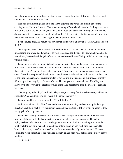wave he was lining up to bodysurf instead broke on top of him, the whitewater filling his mouth and pushing him under the surface.

Jack had been floating close-in to the shore, enjoying the water and thinking about the evening ahead. He turned to see if Peter was showing off yet when he saw his flailing arms just a foot or two out of the water. "Oh, shit!" he said out loud and started swimming out to Peter. He ducked under the breaking wave and kicked harder. Peter was still fifty feet away and struggling when Jack shouted to him, "Don't fight it! Swim parallel to the shore."

Peter shouted back, his mouth full of water and difficult to understand. "I can't, Jack. I'm too tired!"

"Don't panic, Peter," Jack yelled. "I'll be right there." Jack had spent a couple of summers lifeguarding and was a good swimmer as well. He closed the distance to Peter quickly, and as he neared him, he could feel the grip of the current and sensed himself being pulled out to sea along with his friend.

Peter was struggling to keep his head above the water. Jack finally reached him and came up from behind. Peter was clearly in a panic now, and Jack was extra careful not to let him take them both down. "Hang in there, Peter. I got you," Jack said as he slipped one arm around his chest. Careful to keep Peter's head above water, he used a sidestroke to pull the two of them out of the strong current. After several minutes of swimming and his muscles burning, Jack finally felt the rip release its grip on the two of them. He changed direction and started heading into shore, trying to leverage the breaking waves as much as possible to ease the burden of carrying his friend.

"We're going to be okay," said Jack. They were just twenty feet from shore now, and he was exhausted. "Do you think you can make it the rest of the way?"

Peter nodded his head and mumbled, "Yes, I think so."

Jack released his hold of his friend and made sure he was okay and swimming in the right direction. Jack held back a few feet just in case and was starting to follow when he again felt the strong grip of the rip current.

Peter swam slowly into shore. His muscles ached, his eyes burned and his throat was sore from all of the saltwater he had ingested. Mostly though, it was embarrassing. He had been trying to show off to Jack and had nearly gotten them both killed. Approaching the shore, he finally felt the soft sand beneath him and was able to stand up and walk onto the beach. He heaved himself up out of the reach of the surf and sat down heavily in the dry sand. He looked out on the water expecting to see Jack. He thought he had been right behind him but now didn't see him.

"Jack? Jack!"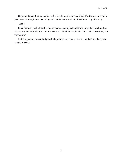He jumped up and ran up and down the beach, looking for his friend. For the second time in just a few minutes, he was panicking and felt the warm rush of adrenaline through his body.

"Jack!"

Peter frantically called out his friend's name, pacing back and forth along the shoreline. But Jack was gone. Peter slumped to his knees and sobbed into his hands. "Oh, Jack. I'm so sorry. So very sorry."

Jack's eighteen-year-old body washed up three days later on the west end of the island, near Madaket beach.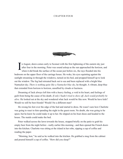# **CHAPTER FOUR**



I n August, dawn comes early to Sconset with the first lightening of the eastern sky just after four in the morning. Peter was sound asleep as the sun approached the horizon, and when it did break the surface of the ocean just before six, the rays flooded into his bedroom on the upper floor of the carriage house. He woke, his eyes squinting against the sunlight streaming in through the windows, turned on his bed, and propped himself up to look out the window. The fog had retreated back out to sea and been replaced with a bright blue Nantucket sky. *There is nothing quite like a Nantucket blue sky*, he thought. A vibrant, deep blue that extended from horizon to horizon, unsullied by clouds or haziness.

Dreaming of Jack always left him with a heavy feeling, a void in his heart, and feelings of guilt from being the cause of his death. *If only I hadn't tried to show off, Jack would probably be alive.* He looked out at the sky and wondered what Jack would be like now. Would he have kids? Would we still be best friends? Would I be a different man?

He swung his feet over the edge of the bed and started to dress. He wasn't sure how Charlotte was going to react to him spending the night in the guest room. No doubt, she was going to be upset, but he knew he could make it up to her. He slipped on his boat shoes and headed to the house. The maids could make the bed.

Peter walked across the lawn towards the house, stopped briefly on the patio to grab his empty beer from the night before - really earlier this morning - and then opened the French doors into the kitchen. Charlotte was sitting at the island in her robe, sipping a cup of coffee and reading the paper.

"Morning, hon," he said as he walked into the kitchen. He grabbed a mug from the cabinet and poured himself a cup of coffee. "How did you sleep?"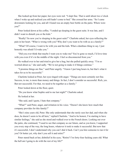She looked up from her paper, her eyes were red. "I slept fine. That is until about two o'clock when I woke up and realized you still hadn't come to bed." She crossed her arms. "So I came downstairs looking for you, and all I found was an empty beer bottle on the patio. Where were you?"

Peter looked down at his coffee, "I ended up sleeping in the guest suite. It was late, and I didn't want to disturb you or the kids."

"Really? So now you're sleeping in the guest suite?" Charlotte asked, her eyes reflecting the pain in her heart. "What is wrong with you? Why don't you want to be with us as a family?"

"What? Of course, I want to be with you and the kids. What a dumbass thing to say. I just honestly was afraid I'd wake you."

"Did you ever think that maybe I want you to wake me? You're gone so much, I'd love time with you even if it's in the middle of the night. I feel so disconnected from you."

He walked over to her and tried to give her a hug, but she pulled quickly away. "I'm so worried about us," she said sadly. "We're not going to make it if things continue."

"I promise things are fine," said Peter angrily. "I know I put long hours in, but that's what it takes for us to be successful."

Charlotte looked at Peter, her eyes tinged with anger. "Things are most certainly not fine. Success, to me, is more than money and things. In fact, I don't consider us successful. Rich, yes. But not successful. For that, we need to be together as a family."

Peter looked down at the floor, quiet.

"Do you know what Sophie said to me last night?" Charlotte asked.

He looked at her.

"She said, and I quote, I hate that company."

"What?" said Peter, anger, and irritation in his voice. "Doesn't she know how much that company provides for this family?"

"She's nine years old, Peter. She only understands that she rarely sees her dad, and when she does, he doesn't seem to be all here," replied Charlotte. "And to be honest, I'm starting to have similar feelings," she said as she stood and walked over to the French doors. Looking out over the patio, she continued, "I used to see that company as our future, and as you know, I supported you every step of the way, the long hours, whatever it took to make it successful. But now that it's successful, I don't understand why you can't dial it back. Can't you hire someone to run it for you? Or better yet, why don't you sell it and retire?"

Peter stared back at her, disbelief in his eyes, "Retire? I'm forty-four fucking years old. What the hell am I going to do with the rest of my life?"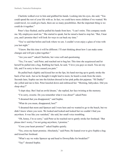Charlotte walked over to him and grabbed his hands. Looking into his eyes, she said, "You could spend the rest of your life with us. In fact, we could have more children if we wanted. We could travel, we could give back, there are so many possibilities. But the important thing is we could do it together."

Peter's face flushed, and he pulled his hands from hers. "I can't retire. This company needs me. My employees need me." She started to speak, but he raised a hand to stop her. "But, I hear you, and I promise that I will look for ways to cut back my time."

"You've said that before and look where we are. I couldn't even enjoy a glass of wine with you last night."

"I know. But this time it will be different. I'll start thinking about how I can make some changes and will put a plan together."

"Are you sure?" asked Charlotte, her voice soft and questioning.

"Yes, I'm sure," said Peter, and reached out to hug her. This time she acquiesced and let herself be pulled into a hug. Rubbing her back, he said, "I love you guys so much. You are my life, and I'm sorry to have caused you pain."

He pulled back slightly and kissed her on the lips, his hand moving up to gently stroke the back of her neck. Just as he thought it might lead to more, he heard a creak from the stairs. Seconds later, Sophie ran into the kitchen dressed in her pink polka dot pajamas. "Hi Daddy!" she yelled and ran to him. Peter kneeled down and embraced her. "Morning, babycakes. Did you sleep okay?"

"I slept okay. But I had an awful dream," she replied, her face twisting at the memory.

"I'm sorry, sweetie. Do you remember what it was about?" asked Peter.

"I dreamed that you disappeared," said Sophie.

"What do you mean, disappeared, hon?"

"I dreamed that mom and Spencer and I were here and we wanted to go to the beach, but we didn't know where you were. We looked and looked and looked but we couldn't find you anywhere. It was like you vanished," she said, her small voice trembling.

"Oh, honey, I'm so sorry," said Peter as he reached out to gently stroke her forehead. "But please don't worry, I'm not going anywhere, I promise."

"Cross your heart promise?" asked Sophie quietly.

"Yes, cross my heart promise. Absolutely," said Peter, He leaned over to give Sophie a hug and kissed her forehead.

"What's say we wake Spencer up and head to Downyflake for breakfast?"

"Yay!" shouted Sophie.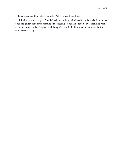Peter rose up and looked at Charlotte, "What do you think, hon?"

"I think that would be great," said Charlotte, smiling and relaxed from their talk. Peter stared at her, the golden light of the morning sun reflecting off her skin, her blue eyes sparkling with love as she looked at her daughter, and thought he was the luckiest man on earth, that is if he didn't screw it all up.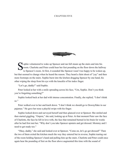# **CHAPTER FIVE**



Sophie volunteered to wake up Spencer and ran full steam up the stairs and into his room. Charlotte and Peter could hear her feet pounding on the floor down the hally to Spencer's room. At first, it sounded like Spencer wa room. Charlotte and Peter could hear her feet pounding on the floor down the hallway to Spencer's room. At first, it sounded like Spencer wasn't too happy to be woken up, but that seemed to change when he heard the reason. They heard a faint shout of "yay" and then more footsteps on the stairs. Sophie burst into the kitchen dragging Spencer by one hand, his other wiping the sleep from his eye with the knuckle of his index finger.

"Let's go, daddy!" said Sophie.

Peter looked at her with a smile spreading across his face, "Um, Sophie. Don't you think you're forgetting something?"

Sophie looked back at her dad with intense concentration. Finally, she replied, "I don't think  $\overline{so}$ "

Peter walked over to her and knelt down. "I don't think we should go to Downyflake in our pajamas." He gave her nose a playful swipe with his finger.

Sophie looked down and surveyed herself and then glanced over at Spencer. She smiled and then started giggling. "Oopsie," she said, looking up at Peter. At that moment Peter saw the face of Charlotte, the face he fell in love with, the face that remained burned in his brain for weeks after he had first met her. "Why don't you take Spencer upstairs and get dressed. Mommy and I need to get ready too."

"Okay, daddy," she said and looked over at Spencer, "Come on, let's go get dressed!" Then the two of them exited the kitchen much the way they entered but in reverse, Sophie tearing out of the room holding Spencer's hand and pulling him up the stairs. Charlotte and Peter could once again hear the pounding of feet on the floor above augmented this time with the sound of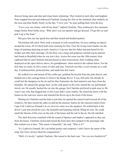drawers being open and shut and closet doors slamming. They looked at each other and laughed. Peter stepped forward and embraced Charlotte, kissing her first on the forehead, then tenderly on the nose and then finally firmly on the lips. "I love you," he said, pulling back from the kiss.

"I love you, too, honey, with all my heart," replied Charlotte. They embraced a few moments longer before Peter broke away. "Why don't you run upstairs and get dressed. I'll get the car and pull it up to the front."

She gave him one last quick kiss and then turned and headed upstairs.

The kitchen fell silent. Peter took a moment to look around him, his eyes settling on objects around the room, all of which held some meaning for him. Over the living room mantle was the large oil painting depicting an early America's Cup race that his father had purchased for his mother just after their marriage. On the floor was a large and gorgeous oriental rug his parents had found at Brimfield when he was just a boy. Across the room was the 18th-century Irish cupboard that he and Charlotte had purchased on their honeymoon, their wedding china displayed on the open shelves above, his grandparents' china stored in the cabinet below. For the first time in weeks, he felt a sense of calm and ease. Fernweh was like a wool sweater on a cold day. It embraced him, protected him, and made him feel warm.

He walked over and turned off the coffee pot, grabbed the keyfob from the junk drawer, and headed out to the carriage house to retrieve the Range Rover. It was still early, but already he could feel the dampness in the air and his blue Nantucket sky had started to turn hazy from the humidity. He opened the garage door via the code panel on the trim, started the car and backed slowly out. He usually backed the car into the garage, but Charlotte preferred to park nose in. He wasn't sure why that bugged him so but it just didn't seem orderly. He closed the doors with the button on the rearview mirror and wheeled the Rover up to the front of the house.

Waiting for Charlotte and the kids to join him, he opened the sunroof and lowered all of the windows. He then turned the radio on and hit the memory button for the classical station from Cape Cod. Ludovico Einaudi's *In un'altravita* came over the speakers. He settled back in the driver's seat and closed his eyes, the beautiful and haunting melody filling his ears. He could smell the blooms of the roses on the side of the house and the salt in the air. He felt satisfied.

The shell driveway crunched with the sound of Spencer and Sophie's approach as they ran from the house. Charlotte closed and locked the front door then jumped in the passenger side. She looked over at him, "This music is beautiful," she said. "Who is it?"

"It's Ludovico Einaudi. He's an Italian pianist and composer. I don't know the name of the song, but I have always liked his compositions."

"Well, it's lovely," replied Charlotte. She turned to the back seat, "Are you two buckled in?"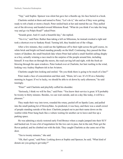"Yep," said Sophie. Spencer was silent but gave her a thumbs up, his face buried in a book.

Charlotte smiled at them and turned to Peter, "Let's do it," she said as if they were getting ready to rob a bank or storm a beach. Peter smiled back at her and started the car. They pulled out of the driveway and headed toward Milestone Road. "What do you think if we take the long way and go via Polpis Road?" asked Peter.

"Sounds great. And it's such a beautiful day," she replied.

"Yes it is," said Peter. Rather than taking a left on Milestone, he instead crooked a right and took a shortcut over to Sankaty Road. Turning left, they headed out of the village.

After a few minutes, they could see the lighthouse off to their right across the golf course, its white brick and bright red band standing proudly on the bluff. Continuing, they passed the blue waters of Quidnet, the small brackish lake where Peter had sailed a small Sunfish sailing dinghy as a boy, actually winning a race much to the surprise of the people around him, including himself. It was then on through the moors, the road curving left and right, with the fresh air blowing through the open windows. Peter looked over at Charlotte, her hair rustling in the wind, looking very Audrey Hepburn-ish in her Aviators.

Charlotte caught him looking and smiled. "Do you think there is going to be much of a line?"

Peter made a face of concentration and then said, "Hmm, let's see. It's 8:30 on a Saturday morning in August. If we're lucky, we should be able to sit down by early afternoon," he said teasingly.

"Peter!" said Charlotte and playfully cuffed his shoulder.

"Seriously, I think we will be fine," said Peter. "You know their service is great. It'll probably be twenty to thirty minutes. Besides, we can wait outside, and on a day like today, it will be a pleasure."

They made their way into town, rounded the rotary, peeled off on Sparks Lane, and pulled into the small parking lot of Downyflake. As predicted, it was busy, and there was a small crowd of people standing outside of the door. Charlotte jumped out to put their name down on the waitlist while Peter hung back like a vulture waiting for another car to leave and free up a parking space.

He was admiring a nicely restored early Ford Bronco when a couple jumped into their SUV and backed out. It was a bit of negotiation for the two cars to pass, but in the end, Peter got the Rover parked, and he climbed out with the kids. They caught Charlotte as she came out of the door.

"Ten to twenty minutes," she said.

"Oh, that's great," said Peter. Looking down at Sophie and Spencer, he said, "What kind of donuts are you going to get today?"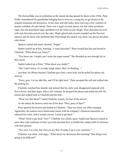The Downyflake was an institution on the island, having opened its doors in the 1930s. Peter fondly remembered his grandfather bringing him to town as a young boy to get donuts at the original restaurant site downtown. At the time, and still today, there were just a few varieties of donuts available, all cake-based. There was a sugar-covered option, not that white powdered sugar, but real granulated sugar sprinkled over the fried circular dough. Then chocolate-covered with real chocolate poured over the cake. Maple glazed and coconut rounded out the flavored options, and for those who preferred their fried dough the natural way, there was always the plain cake donut.

Spencer smiled and nearly shouted, "Sugar!"

Sophie looked up at him, beaming, "I want chocolate!" Peter tousled her hair and turned to Charlotte, "What about you, honey?"

"You know me. I simply can't resist the sugar-coated." She threaded an arm through his as they stood.

Sophie looked up at Peter, "What about you, daddy?"

"Me? I don't know, it's a really tough choice. But I'm thinking…"

Just then, his iPhone buzzed. Charlotte gave him a stern look, but he pulled his phone out anyway.

"Sorry, guys. Let me take this, and I'll be right back." Peter accepted the call and walked into the parking lot.

Charlotte watched him intently and noticed that his smile soon disappeared replaced with first a frown, and then anger. After a few minutes, he dropped the phone and ended the call. He turned and walked back to Charlotte and the kids.

"What was that about?" asked Charlotte, tensely, for fear of the answer.

As she asked, the hostess came out of the door. "Bois, party of four?"

Peter ignored the hostess and looked at Charlotte. "That was Janet, our office manager. Apparently, the auditors have found some issues with the company's financial statements we released last week. And it sounds serious. I need to get back."

"What? Need to get back? Now?" Charlotte was clearly upset. Sophie and Spencer looked at each other with confusion in their eyes and uncertain how to handle this sudden shift of emotions with their parents.

"Yes, now. I'm sorry, but I have to go. But I'll make it up to you, I promise."

Charlotte was silent. And angry. "What about our discussion this morning? That things were going to be different?"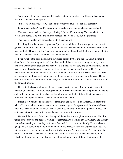"And they will be hon, I promise. I'll start to put a plan together. But I have to take care of this. I don't have another option."

"Fine," said Charlotte, coldly. "You just do what you have to do for that company."

Peter looked at her, "And I'm sorry about breakfast. We can come back next weekend."

Charlotte stared back, her blue eyes blazing, "On no. We're staying. You can take the car. We'll Uber home." She turned to find the hostess. "Hi, we're Bois. But it's just three."

The hostess nodded and headed back into the restaurant.

Kneeling down, Peter gave Sophie and Spencer a quick hug. "I'm sorry, guys, but I have to go. Have a donut for me and I'll see you in a few days." He reached out to embrace Charlotte but was rebuffed. "Have a safe trip," she said unemotionally. She grabbed Sophie and Spencer by the hand and led them into the restaurant. No one looked back.

Peter watched the door close and then walked dejectedly back to the car. Climbing into the driver's seat, he was tempted to call Janet back and tell her he wasn't coming, that they could deal with whatever the problem was next week. But his sense of duty and drive kicked in, and he pushed those thoughts out of his mind. Calling the jet service, he confirmed an 11:00 a.m. departure which would have him back at the office by early afternoon. He started the car, turned off the radio, and drove back to the house with the windows up and the sunroof closed. The only sounds coming from the rumble of the tires, the wind over the side-view mirrors, and the hum of the air conditioning.

He got to the house and quickly backed the car into the garage. Running up to the master bedroom, he changed into more appropriate work attire and ordered a taxi. He grabbed his laptop and stuffed some papers into his backpack, and headed out the front door. The taxi arrived as promised and deposited Peter at the airport with time to spare.

It took a few minutes to find his place among the dozens of jets on the ramp. He spotted the white G5 about halfway down, parked on the eastern edge of the apron, with the clamshell door open and the stairs down. He made his way over and, nodding to the pilot, quickly climbed the stairs and settled into one of the large chairs at the front of the aircraft.

He heard the thump of the door closing and the whine as the engines were started. The pilot taxied to the runway and paused, waiting for clearance. Peter looked out the window and thought again about staying and rushing back to the Downyflake to be with his family. He was about to get up and say something to the pilot when he felt the brakes release and engines spool up. The jet accelerated down the runway and was quickly airborne. As they climbed, Peter could make out the lighthouse in the distance where just a couple of hours before he had driven by with Charlotte, the promise of a fun day together stretched out in front of them. That feeling of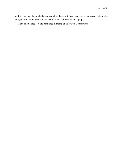lightness and satisfaction had disappeared, replaced with a sense of regret and dread. Peter pulled his eyes from the window and reached into his backpack for his laptop.

The plane banked left and continued climbing on its way to Connecticut.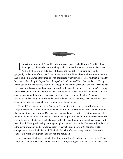### **CHAPTER SIX**



I t was the summer of 1995 and Charlotte was nervous. She had known Peter Bois less than a year, and here she was traveling to visit him and his parents on Nantucket Island. As a girl who grew up outside of St. Louis, she was entirely unfamiliar with the geography and culture of the East Coast. When Peter had told her about their summer home, she had to pull out a United States map to even understand where it was located. And that map hadn't been particularly helpful. It just showed a speck of land south of Cape Code and east of Long Island out a bit in the Atlantic. Her mother though had been the smart one. She and Charlotte had gone to a local bookstore and purchased a travel guide named *Cape Cod & The Islands*. Fearing embarrassment with Peter's family, she had read it cover to cover to fully orient herself with the area, its history, and the strange names of the towns, like Hyannis, Madaket, Wauwinet, Yarmouth, and so many more. Being the detail-oriented person she was, she even made a cheat sheet on an index card as if she was going to an art history exam.

She and Peter had met the very first day of orientation at the University of Richmond in Virginia's capital city. He and his roommate were throwing a party in his dorm room and invited their orientation groups to join. Charlotte had reluctantly agreed to the invitation more out of boredom than any curiosity or desire to meet more people. And her first impression of Peter was certainly not very flattering. She had arrived at his dorm and found him quite busy with a short, busty blond. He stopped kissing her long enough to say hello and invite Charlotte to join them on a trip downtown. Having been warned that very day about going out with hormone ridden college males, she politely declined. She had a few sips of a very cheap beer and then headed back to her room, hoping that she'd not run into him again.

And that desire had been granted, at least for a few days. Charlotte had signed up for French 101, which met Tuesdays and Thursdays for two hours, starting at 11:00 a.m. The first class was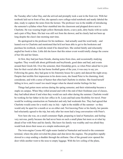the Tuesday after Labor Day, and she arrived and promptly took a seat in the front row. With her textbook laid out in front of her, she opened a new college-ruled notebook and neatly labeled the date, ready to capture the notes from the lecture. The professor was in the middle of introducing the semester's syllabus when Peter stumbled into the classroom and plopped down next to Charlotte. He was wearing bright yellow Bermuda shorts, a navy polo, dirty bucks with no socks and a pair of Ray Bans. His hair was still wet from the shower, and he clearly had not been up long despite the class's late morning start time.

He apologized to the professor for his tardiness - had actually used the word tardy - and leaned over to Charlotte and mentioned that he'd not been able to get to the bookstore and purchase his textbook, would she mind if he shared hers. She smiled faintly and reluctantly angled her book to him. Little did she know that this minor event would totally change the course of her life and her future.

At first, they had just been friends, sharing notes from class, and occasionally studying together. They would talk about girlfriends and boyfriends, good dates and bad, and events around their Greek life. Over the semester, their friendship grew, so when Peter asked her to join him for their social after the last home football game of the year, it was easy to say yes. Following the game, they had gone to his fraternity house for a party and danced the night away. Despite that terrible first impression in his dorm room, she found Peter to be charming, kind, considerate, and with a sense of humor that often had Charlotte in stitches. She found herself falling in love, and it wasn't too much longer when he shared similar feelings for her.

Things had gotten more serious during the spring semester, and their relationship became a staple on campus. When May rolled around and with it the end of their freshman year of classes, they had talked about if and when they would see each other during the summer. Charlotte would be working for her father in his law office in St. Louis and had some flexibility for travel. Peter would be working construction on Nantucket and only had weekends free. They had agreed that Charlotte would come for a week's stay in July - right in the middle of the summer - so they would only be apart for a month or so on either end. Not knowing Peter or his family, her parents had reluctantly agreed to the trip, but only after her mom had a long conversation with Peter's.

Now here she was, on a small commuter flight, preparing to land at Nantucket, and feeling very nervous, partly because she had never been on such a small plane but more so at what lay ahead of her with Peter and his family. She knew his family was wealthy and was afraid they would look down their noses at a simple midwestern girl.

The twin-engine Cessna 402 eight-seater landed at Nantucket and taxied to the commuter terminal, where the pilot swiveled the plane and shut down the engines. The propellers rapidly slowed to a stop sending a shudder through the airframe. One of the ground crew opened the door while another went to the nose to empty luggage. With the low ceiling of the plane,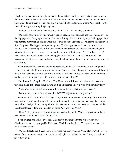Charlotte stooped and awkwardly walked to the exit stairs and then took the two steps down to the tarmac. She looked over at the terminal, saw Peter, and waved. He smiled and waved back. A buzz of excitement went through her, and she hurried into the terminal where Peter met her with a ferocious hug and a long, lingering kiss.

"Welcome to Nantucket!" he whispered into her ear. "I'm so happy you're here!"

"Me too! I have missed you so much," she replied. He took her hand and they walked over to the baggage area. Belaying the wealth that came through the airport every day, the baggage claim was nothing more than an angled wooden deck where the bags were thrown after being retrieved from the plane. The luggage cart pulled up, and Charlotte pointed out hers as they slid down towards them. Peter slung the duffel over his shoulder, grabbed the suitcase in one hand, and with the other grabbed Charlotte's hand and led her out of the terminal. The family's red CJ-5 was parked just outside. Peter threw the luggage in the back and helped Charlotte into the passenger seat. She had never ridden in a Jeep, let alone one without a roof or doors, and found it exhilarating.

Peter crunched the Jeep into first and popped the clutch. Charlotte cried out in delight and grabbed the windshield header to stabilize herself - the last thing she wanted to do was fall out of the car. He accelerated slowly out of the parking lot and then shifted up to second when they got on the street. He looked over at Charlotte, "How was your flight?"

"Oh, it was fine," replied Charlotte. "But I have to admit I was more than a bit nervous on that little plane. It bounced around quite a bit, and it seemed like we were flying awfully low."

"Yeah, it's certainly a different way to fly than on the big jets the airlines have."

"For sure. And why is the airport called ACK? That just seems really weird."

Peter chuckled. "Well, the urban legend says it used to be known as Ackerly Airport until it was renamed Nantucket Memorial. But the truth is that the Navy had exclusive rights to threeletter airport designations starting with N. So since NAN was out as an option, they picked the next logical three letters, which ended up being A, C and K or ACK."

"Hmm." Charlotte thought for a minute and said with a smile, "Well, I guess it could have been worse. It could have been ANT or UCK."

Peter laughed and looked over at her, his brown hair tugged by the wind, "Very true!" Charlotte reached over and grabbed his hand. "God, I've missed you. The last six weeks seem more like six years."

"Me too. It feels like it has been forever since I've seen you, and I'm so glad you're here." He paused for a minute to check traffic as he turned right onto Milestone road. "Are you ready to meet my parents?"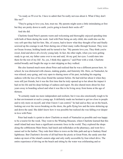Garth Jeffries

"As ready as I'll ever be. I have to admit that I'm really nervous about it. What if they don't like me?"

"They're going to love you, hon, trust me. My parents might seem a little intimidating at first but they are pretty down to earth. you're going to knock their socks off."

And she did.

Charlotte found Peter's parents warm and welcoming and thoroughly enjoyed spending time with both of them during the week. And with Peter being an only child, she could also see the very soft spot they had for him. She, of course, had to know what they thought of her and finally screwed up the courage to ask Peter during one of their many walks through Sconset. They were on Ocean Avenue, holding hands and he turned to her. "My parents love you. They think you're sweet, kind and above all a lovely young lady. In fact, the other night, when you were getting ready to go out, my father came over to me and said, 'oh my god, her eyes. I could stare into them for the rest of my life'. So, yes, I think they approve," said Peter with a wink. Charlotte smiled broadly and fought the urge to start skipping as they walked.

She also learned much more about Peter and realized that he was a different person here. At school, he was distracted with classes, making grades, and fraternity life. Here, on Nantucket, he was relaxed, easy-going, and very open to sharing more of his past, including his ongoing sadness with the loss of his close friend the summer before. He had told her about it when they were still just friends, but it was the first time that he truly opened up to her about the impact it had on his life and his deep feelings of sadness and regret. He also shared more about his four years away in boarding school and what it was like to be living away from home at the age of thirteen.

"It certainly made me more independent and resilient, but it was also emotionally tough to be in that environment at such a young age. It definitely made me hesitant to get too close to people and to rely more on myself, and what I know I can control," he had said as they sat on the beach, looking out over the waves breaking on the shore, the gulls flying low and the terns skittering up and down the sand. She didn't know how it was possible but realized she was falling ever deeper in love with Peter.

Peter had made it a point to show Charlotte as much of Nantucket as possible and was happy to be a tourist for the week. They went to the Whaling Museum, where Charlotte learned that this small island had once been a significant economic force in the world. They explored the shops along the cobblestone Main Street, had lunch and milkshakes at the pharmacy, and went for a sunset sail in the harbor. They rode their bikes to town on the bike path and up to Sankaty Head lighthouse. But Charlotte's favorite of all had been the picnic at Great Point, the sandy arm that makes up most of the island's eastern edge and only really accessible by four-wheel drive. The entire experience of driving on the beach and sitting by the water was exhilarating and so

37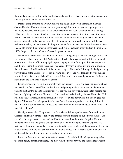thoroughly opposite her life in the landlocked midwest. She wished she could bottle that day up and carry it with her for the rest of her life.

Despite being from the midwest, Charlotte had fallen in love with Nantucket. She was charmed by the old-world atmosphere, the gray shingled homes, the glorious open spaces, and the lovely beaches. And Siasconset had wholly captured her heart. Originally an old fishing village, over the centuries, it had been transformed into an escape. First, from those from town wanting to distance themselves from the noise and smells of the whaling industry, then actors seeking refuge from the heat and humidity of Broadway in New York and now, well-heeled residents, tourists, and vacationers looking for shelter from modern life. While there were a few elegant old homes, like Fernweh, most were small, simple cottages, many built in the mid to late 1800s. It quickly became Charlotte's favorite place on earth.

When Peter was at work, she explored Sconset walking every street and getting to know this very unique village from the Bluff Walk to the old well. She was charmed with the manicured privets, the profusion of blooming hydrangeas ranging in color from light pink to deep purple, and the ever-present climbing roses, their numerous blossoms in red, pink, and white adorning the trellis-covered walls and roofs of the quaint cottages. She watched through the hedges as they played tennis at the Casino - dressed in all white of course - and was fascinated by the sundial next to the old bike bridge. When Peter returned from work, they would go down to the beach to sit and talk and then head to town for dinner.

It was a wonderful week, and it went by way too quickly. Before she even realized what had happened, she found herself back at the airport and getting ready to board the small commuter plane to start her trip back to the midwest. "I'll see you in a few weeks," said Peter, holding her hand and fighting back tears. She squeezed his hand, sad to be leaving him and Nantucket. "I'll still miss you," she said, sniffling through her tears. He pulled her toward him and hugged her tightly. "I love you," he whispered into her ear. "And I want to spend the rest of my life with you." Charlotte pulled back and smiled. She kissed him on the lips and hugged him harder. "Me too, Peter. Me too."

Her flight was called. They shared one final kiss and slowly pulled away from each other. Charlotte reluctantly turned to follow the handful of other passengers out onto the tarmac. She ascended the steps into the plane and shuffled to her seat directly next to the pilot. The door thumped closed, and the ground crew gave the pilot the thumbs up to start the engines. She watched as the propellers on the right engine started to turn, caught, and then roared with a belch of blue smoke from the exhaust. With the left engine started with the same belch of smoke, the pilot eased the throttles forward and taxied out on the runway.

From her front seat, she had a fantastic view out of the windshield and again thought about the sheer beauty of this little island. The pilot turned onto the runway and immediately started